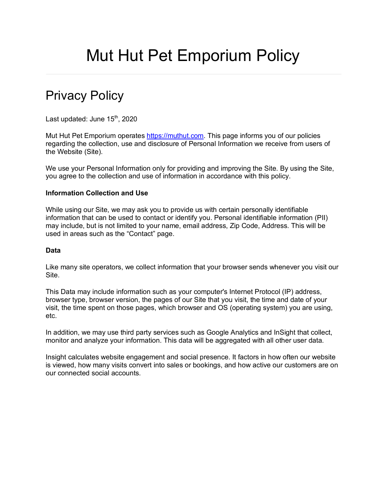# Mut Hut Pet Emporium Policy

## Privacy Policy

Last updated: June  $15<sup>th</sup>$ , 2020

Mut Hut Pet Emporium operates https://muthut.com. This page informs you of our policies regarding the collection, use and disclosure of Personal Information we receive from users of the Website (Site).

We use your Personal Information only for providing and improving the Site. By using the Site, you agree to the collection and use of information in accordance with this policy.

#### **Information Collection and Use**

While using our Site, we may ask you to provide us with certain personally identifiable information that can be used to contact or identify you. Personal identifiable information (PII) may include, but is not limited to your name, email address, Zip Code, Address. This will be used in areas such as the "Contact" page.

#### **Data**

Like many site operators, we collect information that your browser sends whenever you visit our Site.

This Data may include information such as your computer's Internet Protocol (IP) address, browser type, browser version, the pages of our Site that you visit, the time and date of your visit, the time spent on those pages, which browser and OS (operating system) you are using, etc.

In addition, we may use third party services such as Google Analytics and InSight that collect, monitor and analyze your information. This data will be aggregated with all other user data.

Insight calculates website engagement and social presence. It factors in how often our website is viewed, how many visits convert into sales or bookings, and how active our customers are on our connected social accounts.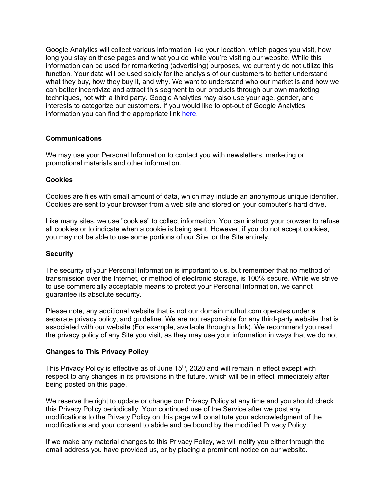Google Analytics will collect various information like your location, which pages you visit, how long you stay on these pages and what you do while you're visiting our website. While this information can be used for remarketing (advertising) purposes, we currently do not utilize this function. Your data will be used solely for the analysis of our customers to better understand what they buy, how they buy it, and why. We want to understand who our market is and how we can better incentivize and attract this segment to our products through our own marketing techniques, not with a third party. Google Analytics may also use your age, gender, and interests to categorize our customers. If you would like to opt-out of Google Analytics information you can find the appropriate link here.

#### **Communications**

We may use your Personal Information to contact you with newsletters, marketing or promotional materials and other information.

#### **Cookies**

Cookies are files with small amount of data, which may include an anonymous unique identifier. Cookies are sent to your browser from a web site and stored on your computer's hard drive.

Like many sites, we use "cookies" to collect information. You can instruct your browser to refuse all cookies or to indicate when a cookie is being sent. However, if you do not accept cookies, you may not be able to use some portions of our Site, or the Site entirely.

#### **Security**

The security of your Personal Information is important to us, but remember that no method of transmission over the Internet, or method of electronic storage, is 100% secure. While we strive to use commercially acceptable means to protect your Personal Information, we cannot guarantee its absolute security.

Please note, any additional website that is not our domain muthut.com operates under a separate privacy policy, and guideline. We are not responsible for any third-party website that is associated with our website (For example, available through a link). We recommend you read the privacy policy of any Site you visit, as they may use your information in ways that we do not.

#### **Changes to This Privacy Policy**

This Privacy Policy is effective as of June  $15<sup>th</sup>$ , 2020 and will remain in effect except with respect to any changes in its provisions in the future, which will be in effect immediately after being posted on this page.

We reserve the right to update or change our Privacy Policy at any time and you should check this Privacy Policy periodically. Your continued use of the Service after we post any modifications to the Privacy Policy on this page will constitute your acknowledgment of the modifications and your consent to abide and be bound by the modified Privacy Policy.

If we make any material changes to this Privacy Policy, we will notify you either through the email address you have provided us, or by placing a prominent notice on our website.